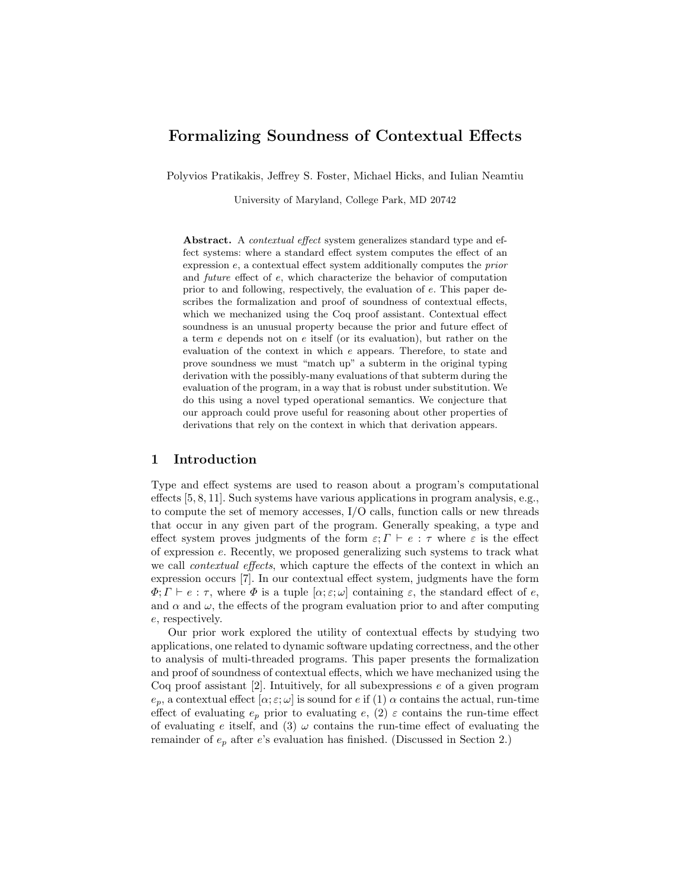# Formalizing Soundness of Contextual Effects

Polyvios Pratikakis, Jeffrey S. Foster, Michael Hicks, and Iulian Neamtiu

University of Maryland, College Park, MD 20742

Abstract. A *contextual effect* system generalizes standard type and effect systems: where a standard effect system computes the effect of an expression e, a contextual effect system additionally computes the prior and future effect of e, which characterize the behavior of computation prior to and following, respectively, the evaluation of e. This paper describes the formalization and proof of soundness of contextual effects, which we mechanized using the Coq proof assistant. Contextual effect soundness is an unusual property because the prior and future effect of a term e depends not on e itself (or its evaluation), but rather on the evaluation of the context in which e appears. Therefore, to state and prove soundness we must "match up" a subterm in the original typing derivation with the possibly-many evaluations of that subterm during the evaluation of the program, in a way that is robust under substitution. We do this using a novel typed operational semantics. We conjecture that our approach could prove useful for reasoning about other properties of derivations that rely on the context in which that derivation appears.

# 1 Introduction

Type and effect systems are used to reason about a program's computational effects [5, 8, 11]. Such systems have various applications in program analysis, e.g., to compute the set of memory accesses, I/O calls, function calls or new threads that occur in any given part of the program. Generally speaking, a type and effect system proves judgments of the form  $\varepsilon$ ;  $\Gamma \vdash e : \tau$  where  $\varepsilon$  is the effect of expression e. Recently, we proposed generalizing such systems to track what we call *contextual effects*, which capture the effects of the context in which an expression occurs [7]. In our contextual effect system, judgments have the form  $\Phi$ ;  $\Gamma \vdash e : \tau$ , where  $\Phi$  is a tuple  $[\alpha; \varepsilon; \omega]$  containing  $\varepsilon$ , the standard effect of  $e$ , and  $\alpha$  and  $\omega$ , the effects of the program evaluation prior to and after computing e, respectively.

Our prior work explored the utility of contextual effects by studying two applications, one related to dynamic software updating correctness, and the other to analysis of multi-threaded programs. This paper presents the formalization and proof of soundness of contextual effects, which we have mechanized using the Coq proof assistant [2]. Intuitively, for all subexpressions e of a given program  $e_p$ , a contextual effect  $[\alpha; \varepsilon; \omega]$  is sound for e if (1)  $\alpha$  contains the actual, run-time effect of evaluating  $e_p$  prior to evaluating  $e$ , (2)  $\varepsilon$  contains the run-time effect of evaluating e itself, and (3)  $\omega$  contains the run-time effect of evaluating the remainder of  $e_p$  after e's evaluation has finished. (Discussed in Section 2.)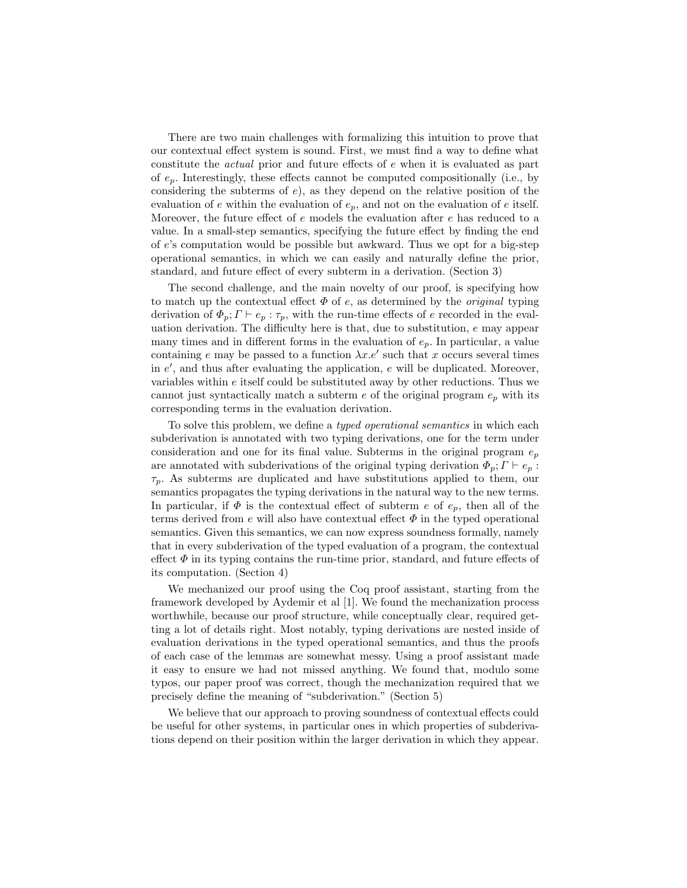There are two main challenges with formalizing this intuition to prove that our contextual effect system is sound. First, we must find a way to define what constitute the actual prior and future effects of e when it is evaluated as part of  $e_p$ . Interestingly, these effects cannot be computed compositionally (i.e., by considering the subterms of  $e$ ), as they depend on the relative position of the evaluation of e within the evaluation of  $e_p$ , and not on the evaluation of e itself. Moreover, the future effect of e models the evaluation after e has reduced to a value. In a small-step semantics, specifying the future effect by finding the end of  $e$ 's computation would be possible but awkward. Thus we opt for a big-step operational semantics, in which we can easily and naturally define the prior, standard, and future effect of every subterm in a derivation. (Section 3)

The second challenge, and the main novelty of our proof, is specifying how to match up the contextual effect  $\Phi$  of e, as determined by the *original* typing derivation of  $\Phi_p$ ;  $\Gamma \vdash e_p : \tau_p$ , with the run-time effects of e recorded in the evaluation derivation. The difficulty here is that, due to substitution, e may appear many times and in different forms in the evaluation of  $e_p$ . In particular, a value containing e may be passed to a function  $\lambda x.e'$  such that x occurs several times in  $e'$ , and thus after evaluating the application,  $e$  will be duplicated. Moreover, variables within  $e$  itself could be substituted away by other reductions. Thus we cannot just syntactically match a subterm  $e$  of the original program  $e_p$  with its corresponding terms in the evaluation derivation.

To solve this problem, we define a typed operational semantics in which each subderivation is annotated with two typing derivations, one for the term under consideration and one for its final value. Subterms in the original program  $e_p$ are annotated with subderivations of the original typing derivation  $\Phi_p$ ;  $\Gamma \vdash e_p$ :  $\tau_p$ . As subterms are duplicated and have substitutions applied to them, our semantics propagates the typing derivations in the natural way to the new terms. In particular, if  $\Phi$  is the contextual effect of subterm e of  $e_p$ , then all of the terms derived from  $e$  will also have contextual effect  $\Phi$  in the typed operational semantics. Given this semantics, we can now express soundness formally, namely that in every subderivation of the typed evaluation of a program, the contextual effect  $\Phi$  in its typing contains the run-time prior, standard, and future effects of its computation. (Section 4)

We mechanized our proof using the Coq proof assistant, starting from the framework developed by Aydemir et al [1]. We found the mechanization process worthwhile, because our proof structure, while conceptually clear, required getting a lot of details right. Most notably, typing derivations are nested inside of evaluation derivations in the typed operational semantics, and thus the proofs of each case of the lemmas are somewhat messy. Using a proof assistant made it easy to ensure we had not missed anything. We found that, modulo some typos, our paper proof was correct, though the mechanization required that we precisely define the meaning of "subderivation." (Section 5)

We believe that our approach to proving soundness of contextual effects could be useful for other systems, in particular ones in which properties of subderivations depend on their position within the larger derivation in which they appear.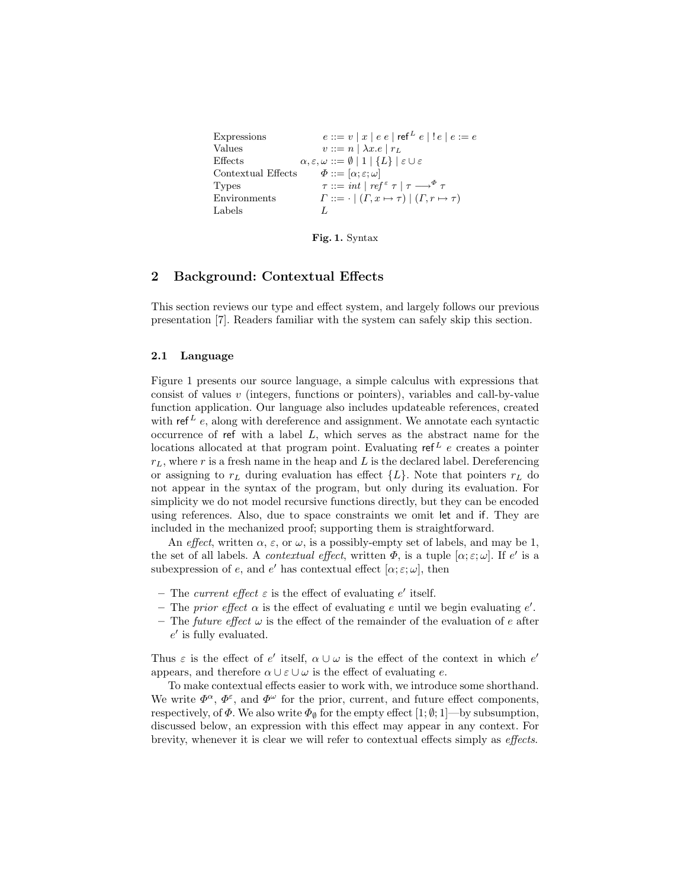```
Expressions e ::= v | x | e e | \operatorname{ref}^L e | ! e | e : = eValues v ::= n | \lambda x.e | r<sub>L</sub>Effects \alpha, \varepsilon, \omega ::= \emptyset \mid 1 \mid \{L\} \mid \varepsilon \cup \varepsilonContextual Effects \Phi ::= [\alpha; \varepsilon; \omega]Types \tau ::= int |ref^{\epsilon} \tau | \tau \longrightarrow^{\Phi} \tauEnvironments \Gamma ::= \cdot | ( \Gamma, x \mapsto \tau) | ( \Gamma, r \mapsto \tau)Labels L
```
Fig. 1. Syntax

### 2 Background: Contextual Effects

This section reviews our type and effect system, and largely follows our previous presentation [7]. Readers familiar with the system can safely skip this section.

#### 2.1 Language

Figure 1 presents our source language, a simple calculus with expressions that consist of values  $v$  (integers, functions or pointers), variables and call-by-value function application. Our language also includes updateable references, created with ref  $L$  e, along with dereference and assignment. We annotate each syntactic occurrence of ref with a label  $L$ , which serves as the abstract name for the locations allocated at that program point. Evaluating  $ref<sup>L</sup> e$  creates a pointer  $r<sub>L</sub>$ , where r is a fresh name in the heap and L is the declared label. Dereferencing or assigning to  $r<sub>L</sub>$  during evaluation has effect  ${L}$ . Note that pointers  $r<sub>L</sub>$  do not appear in the syntax of the program, but only during its evaluation. For simplicity we do not model recursive functions directly, but they can be encoded using references. Also, due to space constraints we omit let and if. They are included in the mechanized proof; supporting them is straightforward.

An effect, written  $\alpha$ ,  $\varepsilon$ , or  $\omega$ , is a possibly-empty set of labels, and may be 1, the set of all labels. A *contextual effect*, written  $\Phi$ , is a tuple  $[\alpha; \varepsilon; \omega]$ . If  $e'$  is a subexpression of e, and e' has contextual effect  $[\alpha; \varepsilon; \omega]$ , then

- The current effect  $\varepsilon$  is the effect of evaluating e' itself.
- The prior effect  $\alpha$  is the effect of evaluating e until we begin evaluating e'.
- The future effect  $\omega$  is the effect of the remainder of the evaluation of e after  $e'$  is fully evaluated.

Thus  $\varepsilon$  is the effect of  $e'$  itself,  $\alpha \cup \omega$  is the effect of the context in which  $e'$ appears, and therefore  $\alpha \cup \varepsilon \cup \omega$  is the effect of evaluating e.

To make contextual effects easier to work with, we introduce some shorthand. We write  $\Phi^{\alpha}$ ,  $\Phi^{\varepsilon}$ , and  $\Phi^{\omega}$  for the prior, current, and future effect components, respectively, of  $\Phi$ . We also write  $\Phi_{\emptyset}$  for the empty effect [1;  $\emptyset$ ; 1]—by subsumption, discussed below, an expression with this effect may appear in any context. For brevity, whenever it is clear we will refer to contextual effects simply as effects.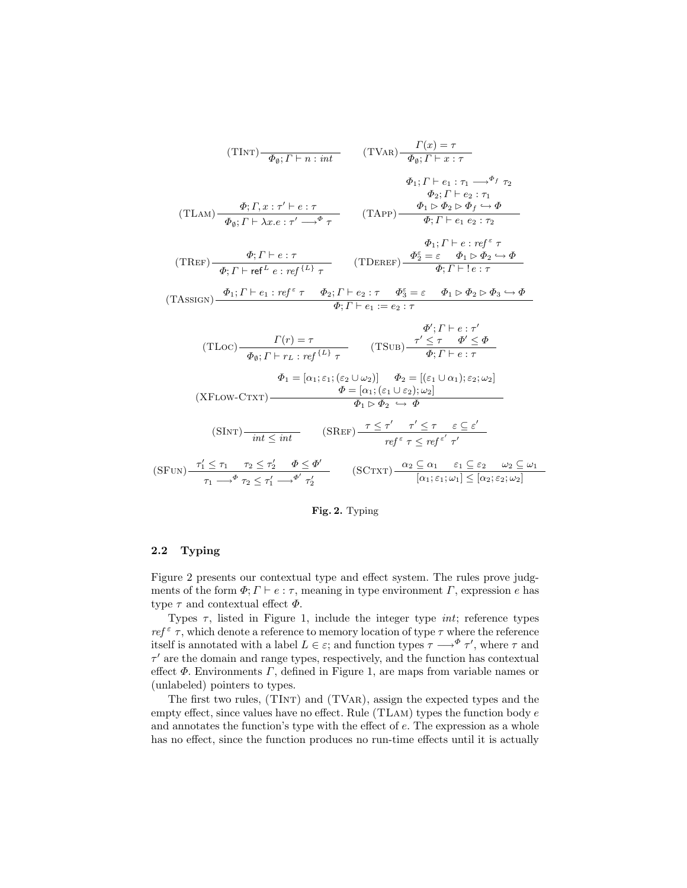(TINT)
$$
\frac{\Phi_{\emptyset}; \Gamma \vdash n : int}{\Phi_{\emptyset}; \Gamma \vdash n : int}
$$
 (TVAR) $\frac{\Gamma(x) = \tau}{\Phi_{\emptyset}; \Gamma \vdash x : \tau}$   
\n $\Phi_1; \Gamma \vdash e_1 : \tau_1 \longrightarrow^{\Phi_f} \tau_2$   
\n(TLAM) $\frac{\Phi; \Gamma, x : \tau' \vdash e : \tau}{\Phi_{\emptyset}; \Gamma \vdash \lambda x.e : \tau' \longrightarrow^{\Phi} \tau}$  (TAPP) $\frac{\Phi_1 \vdash \Phi_2 \rash \Phi_f \longrightarrow \Phi}{\Phi; \Gamma \vdash e_1 e_2 : \tau_2}$   
\n $\frac{\Phi_1; \Gamma \vdash e : ref^{\epsilon} \tau}{\Phi; \Gamma \vdash ref^{\epsilon} e : ref^{\{L\}} \tau}$  (TDEF) $\frac{\Phi_2^{\epsilon} = \varepsilon \Phi_1 \rash \Phi_2 \rash \Phi}{\Phi; \Gamma \vdash e : \tau}$   
\n(TASSIGN) $\frac{\Phi_1; \Gamma \vdash e : ref^{\epsilon} \tau \Phi_2; \Gamma \vdash e_2 : \tau \Phi_3^{\epsilon} = \varepsilon \Phi_1 \rash \Phi_2 \rash \Phi_3 \rash \Phi}{\Phi; \Gamma \vdash e_1 := e_2 : \tau}$   
\n(TLoc) $\frac{\Gamma(r) = \tau}{\Phi_{\emptyset}; \Gamma \vdash r \bot : ref^{\{L\}} \tau}$  (TSUB) $\frac{\tau' \leq \tau \Phi' \leq \Phi}{\Phi; \Gamma \vdash e : \tau}$   
\n $\Phi_1 = [\alpha_1; \varepsilon_1; (\varepsilon_2 \cup \omega_2)] \Phi_2 = [(\varepsilon_1 \cup \alpha_1); \varepsilon_2; \omega_2]$   
\n(XFLOW-CTXT) $\frac{\Phi = [\alpha_1; (\varepsilon_1 \cup \varepsilon_2); \omega_2]}{\Phi_1 \rash \Phi_2 \rash \Phi}$   
\n(SINT) $\frac{\tau'_1 \leq \tau_1 \tau_2 \leq \tau'_2 \qquad \Phi \leq \Phi'}{\tau_1 \rash \tau' \tau}$  (SCTXT) $\frac{\alpha_2 \subseteq \alpha_1 \epsilon_1 \in \varepsilon_2 \wedge \omega_2}{[\alpha_1; \varepsilon_1; \omega_1] \leq [\alpha_2; \$ 

#### Fig. 2. Typing

### 2.2 Typing

Figure 2 presents our contextual type and effect system. The rules prove judgments of the form  $\Phi$ ;  $\Gamma \vdash e : \tau$ , meaning in type environment  $\Gamma$ , expression e has type  $\tau$  and contextual effect  $\Phi$ .

Types  $\tau$ , listed in Figure 1, include the integer type *int*; reference types  $ref^{\varepsilon}$ , which denote a reference to memory location of type  $\tau$  where the reference itself is annotated with a label  $L \in \varepsilon$ ; and function types  $\tau \longrightarrow^{\Phi} \tau'$ , where  $\tau$  and  $\tau'$  are the domain and range types, respectively, and the function has contextual effect  $\Phi$ . Environments  $\Gamma$ , defined in Figure 1, are maps from variable names or (unlabeled) pointers to types.

The first two rules, (TInt) and (TVar), assign the expected types and the empty effect, since values have no effect. Rule  $(TLAM)$  types the function body  $e$ and annotates the function's type with the effect of e. The expression as a whole has no effect, since the function produces no run-time effects until it is actually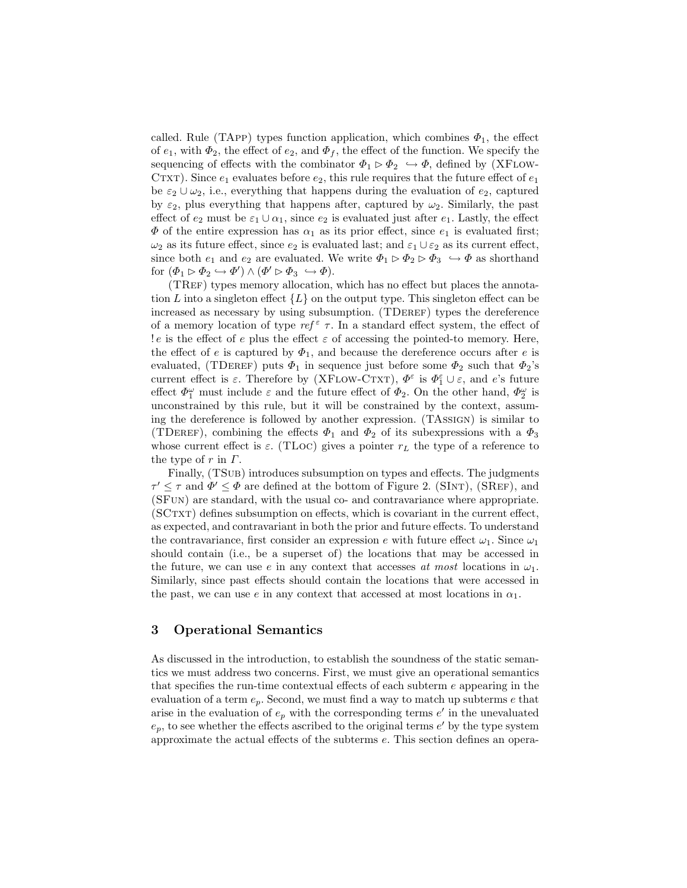called. Rule (TAPP) types function application, which combines  $\Phi_1$ , the effect of  $e_1$ , with  $\Phi_2$ , the effect of  $e_2$ , and  $\Phi_f$ , the effect of the function. We specify the sequencing of effects with the combinator  $\Phi_1 \triangleright \Phi_2 \hookrightarrow \Phi$ , defined by (XFLOW-CTXT). Since  $e_1$  evaluates before  $e_2$ , this rule requires that the future effect of  $e_1$ be  $\varepsilon_2 \cup \omega_2$ , i.e., everything that happens during the evaluation of  $e_2$ , captured by  $\varepsilon_2$ , plus everything that happens after, captured by  $\omega_2$ . Similarly, the past effect of  $e_2$  must be  $\varepsilon_1 \cup \alpha_1$ , since  $e_2$  is evaluated just after  $e_1$ . Lastly, the effect  $\Phi$  of the entire expression has  $\alpha_1$  as its prior effect, since  $e_1$  is evaluated first;  $\omega_2$  as its future effect, since  $e_2$  is evaluated last; and  $\varepsilon_1 \cup \varepsilon_2$  as its current effect, since both  $e_1$  and  $e_2$  are evaluated. We write  $\Phi_1 \triangleright \Phi_2 \triangleright \Phi_3 \hookrightarrow \Phi$  as shorthand for  $(\Phi_1 \rhd \Phi_2 \hookrightarrow \Phi') \wedge (\Phi' \rhd \Phi_3 \hookrightarrow \Phi).$ 

(TREF) types memory allocation, which has no effect but places the annotation L into a singleton effect  $\{L\}$  on the output type. This singleton effect can be increased as necessary by using subsumption. (TDEREF) types the dereference of a memory location of type  $ref^{\epsilon} \tau$ . In a standard effect system, the effect of ! e is the effect of e plus the effect  $\varepsilon$  of accessing the pointed-to memory. Here, the effect of e is captured by  $\Phi_1$ , and because the dereference occurs after e is evaluated, (TDEREF) puts  $\Phi_1$  in sequence just before some  $\Phi_2$  such that  $\Phi_2$ 's current effect is  $\varepsilon$ . Therefore by (XFLOW-CTXT),  $\Phi^{\varepsilon}$  is  $\Phi_1^{\varepsilon} \cup \varepsilon$ , and  $e$ 's future effect  $\Phi_1^{\omega}$  must include  $\varepsilon$  and the future effect of  $\Phi_2$ . On the other hand,  $\Phi_2^{\omega}$  is unconstrained by this rule, but it will be constrained by the context, assuming the dereference is followed by another expression. (TAssign) is similar to (TDEREF), combining the effects  $\Phi_1$  and  $\Phi_2$  of its subexpressions with a  $\Phi_3$ whose current effect is  $\varepsilon$ . (TLoc) gives a pointer  $r<sub>L</sub>$  the type of a reference to the type of  $r$  in  $\Gamma$ .

Finally, (TSub) introduces subsumption on types and effects. The judgments  $\tau' \leq \tau$  and  $\Phi' \leq \Phi$  are defined at the bottom of Figure 2. (SINT), (SREF), and (SFun) are standard, with the usual co- and contravariance where appropriate. (SCtxt) defines subsumption on effects, which is covariant in the current effect, as expected, and contravariant in both the prior and future effects. To understand the contravariance, first consider an expression e with future effect  $\omega_1$ . Since  $\omega_1$ should contain (i.e., be a superset of) the locations that may be accessed in the future, we can use e in any context that accesses at most locations in  $\omega_1$ . Similarly, since past effects should contain the locations that were accessed in the past, we can use e in any context that accessed at most locations in  $\alpha_1$ .

### 3 Operational Semantics

As discussed in the introduction, to establish the soundness of the static semantics we must address two concerns. First, we must give an operational semantics that specifies the run-time contextual effects of each subterm  $e$  appearing in the evaluation of a term  $e_p$ . Second, we must find a way to match up subterms e that arise in the evaluation of  $e_p$  with the corresponding terms  $e'$  in the unevaluated  $e_p$ , to see whether the effects ascribed to the original terms  $e'$  by the type system approximate the actual effects of the subterms e. This section defines an opera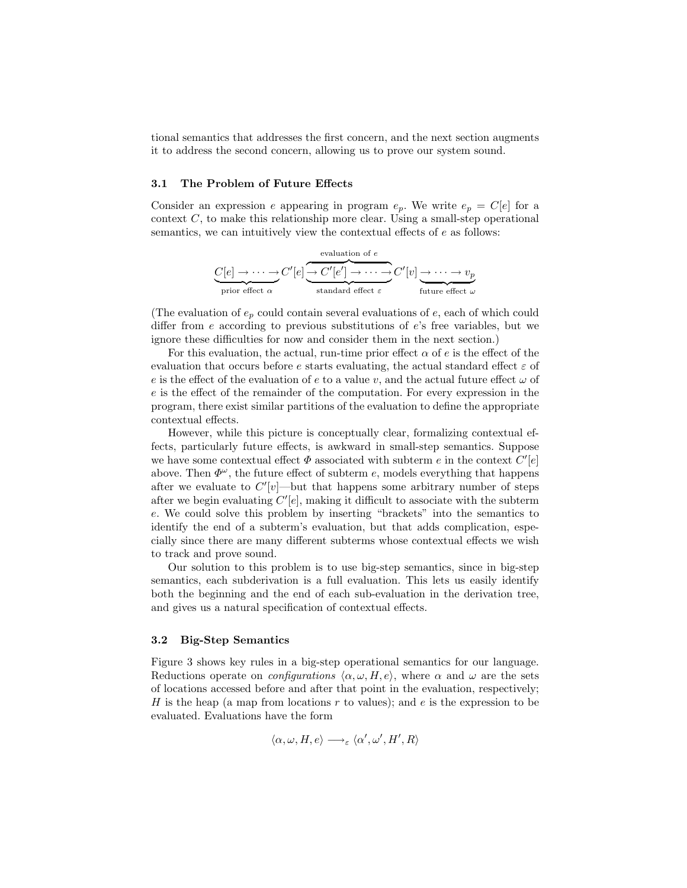tional semantics that addresses the first concern, and the next section augments it to address the second concern, allowing us to prove our system sound.

#### 3.1 The Problem of Future Effects

Consider an expression e appearing in program  $e_p$ . We write  $e_p = C[e]$  for a context C, to make this relationship more clear. Using a small-step operational semantics, we can intuitively view the contextual effects of  $e$  as follows:

$$
\underbrace{C[e] \rightarrow \cdots \rightarrow}_{\text{prior effect } \alpha} C'[e] \underbrace{\rightarrow C'[e'] \rightarrow \cdots \rightarrow C'[v]}_{\text{standard effect } \varepsilon} C'[v] \underbrace{\rightarrow \cdots \rightarrow v_p}_{\text{future effect } \omega}
$$

(The evaluation of  $e_p$  could contain several evaluations of  $e$ , each of which could differ from e according to previous substitutions of e's free variables, but we ignore these difficulties for now and consider them in the next section.)

For this evaluation, the actual, run-time prior effect  $\alpha$  of e is the effect of the evaluation that occurs before e starts evaluating, the actual standard effect  $\varepsilon$  of e is the effect of the evaluation of e to a value v, and the actual future effect  $\omega$  of e is the effect of the remainder of the computation. For every expression in the program, there exist similar partitions of the evaluation to define the appropriate contextual effects.

However, while this picture is conceptually clear, formalizing contextual effects, particularly future effects, is awkward in small-step semantics. Suppose we have some contextual effect  $\Phi$  associated with subterm e in the context  $C'[e]$ above. Then  $\Phi^{\omega}$ , the future effect of subterm e, models everything that happens after we evaluate to  $C'[v]$ —but that happens some arbitrary number of steps after we begin evaluating  $C'[e]$ , making it difficult to associate with the subterm e. We could solve this problem by inserting "brackets" into the semantics to identify the end of a subterm's evaluation, but that adds complication, especially since there are many different subterms whose contextual effects we wish to track and prove sound.

Our solution to this problem is to use big-step semantics, since in big-step semantics, each subderivation is a full evaluation. This lets us easily identify both the beginning and the end of each sub-evaluation in the derivation tree, and gives us a natural specification of contextual effects.

#### 3.2 Big-Step Semantics

Figure 3 shows key rules in a big-step operational semantics for our language. Reductions operate on *configurations*  $\langle \alpha, \omega, H, e \rangle$ , where  $\alpha$  and  $\omega$  are the sets of locations accessed before and after that point in the evaluation, respectively; H is the heap (a map from locations  $r$  to values); and  $e$  is the expression to be evaluated. Evaluations have the form

$$
\langle \alpha, \omega, H, e \rangle \longrightarrow_{\varepsilon} \langle \alpha', \omega', H', R \rangle
$$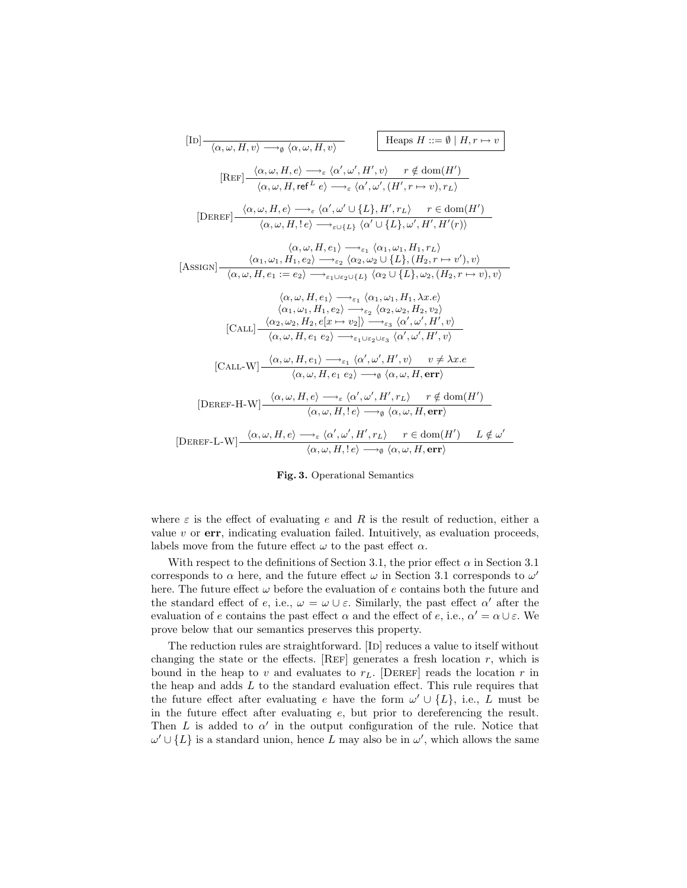$$
[\text{ID}] \frac{}{\langle \alpha, \omega, H, v \rangle \longrightarrow_{\theta} \langle \alpha, \omega, H, v \rangle} \qquad \text{Hegps } H ::= \emptyset \mid H, r \mapsto v
$$
\n
$$
[\text{REF}] \frac{\langle \alpha, \omega, H, e \rangle \longrightarrow_{\varepsilon} \langle \alpha', \omega', H', v \rangle \qquad r \notin \text{dom}(H')}{\langle \alpha, \omega, H, \text{ref}^L e \rangle \longrightarrow_{\varepsilon} \langle \alpha', \omega', (H', r \mapsto v), r_L \rangle}
$$
\n
$$
[\text{DEREF}] \frac{\langle \alpha, \omega, H, e \rangle \longrightarrow_{\varepsilon} \langle \alpha', \omega' \cup \{L\}, H', r_L \rangle \qquad r \in \text{dom}(H')}{\langle \alpha, \omega, H, ! e \rangle \longrightarrow_{\varepsilon \cup \{L\}} \langle \alpha' \cup \{L\}, \omega', H', H'(r) \rangle}
$$
\n
$$
\langle \alpha, \omega, H, e_1 \rangle \longrightarrow_{\varepsilon_1} \langle \alpha_1, \omega_1, H_1, r_L \rangle
$$
\n[ASSIGN] 
$$
\frac{\langle \alpha_1, \omega_1, H_1, e_2 \rangle \longrightarrow_{\varepsilon_2} \langle \alpha_2, \omega_2 \cup \{L\}, (H_2, r \mapsto v'), v \rangle}{\langle \alpha, \omega, H, e_1 := e_2 \rangle \longrightarrow_{\varepsilon_1 \cup \varepsilon_2 \cup \{L\}} \langle \alpha_2 \cup \{L\}, \omega_2, (H_2, r \mapsto v), v \rangle}
$$
\n
$$
\langle \alpha, \omega, H, e_1 \rangle \longrightarrow_{\varepsilon_1} \langle \alpha_1, \omega_1, H_1, \lambda x. e \rangle
$$
\n
$$
\langle \alpha_1, \omega_1, H_1, e_2 \rangle \longrightarrow_{\varepsilon_2} \langle \alpha_2, \omega_2, H_2, v_2 \rangle
$$
\n[CALL] 
$$
\frac{\langle \alpha_2, \omega_2, H_2, e[x \mapsto v_2] \rangle \longrightarrow_{\varepsilon_3} \langle \alpha', \omega', H', v \rangle}{\langle \alpha, \omega, H, e_1 e_2 \rangle \longrightarrow_{\varepsilon_1 \cup \varepsilon_2 \cup \varepsilon_3} \langle \alpha', \omega', H', v \rangle}
$$
\n[DE

### Fig. 3. Operational Semantics

where  $\varepsilon$  is the effect of evaluating e and R is the result of reduction, either a value  $v$  or  $err$ , indicating evaluation failed. Intuitively, as evaluation proceeds, labels move from the future effect  $\omega$  to the past effect  $\alpha$ .

With respect to the definitions of Section 3.1, the prior effect  $\alpha$  in Section 3.1 corresponds to  $\alpha$  here, and the future effect  $\omega$  in Section 3.1 corresponds to  $\omega'$ here. The future effect  $\omega$  before the evaluation of e contains both the future and the standard effect of e, i.e.,  $\omega = \omega \cup \varepsilon$ . Similarly, the past effect  $\alpha'$  after the evaluation of e contains the past effect  $\alpha$  and the effect of e, i.e.,  $\alpha' = \alpha \cup \varepsilon$ . We prove below that our semantics preserves this property.

The reduction rules are straightforward. [ID] reduces a value to itself without changing the state or the effects. [REF] generates a fresh location  $r$ , which is bound in the heap to v and evaluates to  $r<sub>L</sub>$ . [DEREF] reads the location r in the heap and adds  $L$  to the standard evaluation effect. This rule requires that the future effect after evaluating e have the form  $\omega' \cup \{L\}$ , i.e., L must be in the future effect after evaluating e, but prior to dereferencing the result. Then L is added to  $\alpha'$  in the output configuration of the rule. Notice that  $\omega' \cup \{L\}$  is a standard union, hence L may also be in  $\omega'$ , which allows the same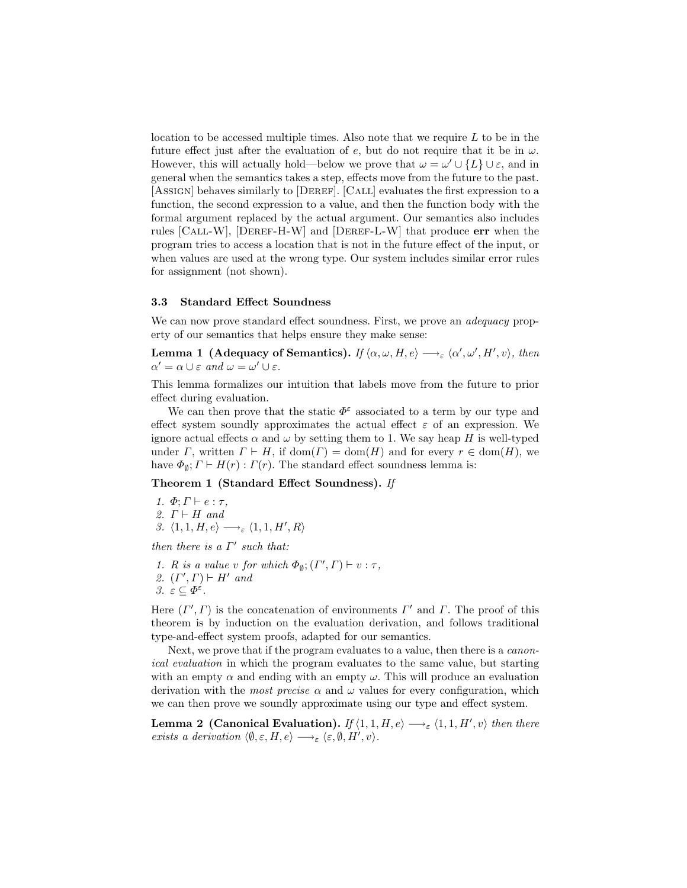location to be accessed multiple times. Also note that we require  $L$  to be in the future effect just after the evaluation of e, but do not require that it be in  $\omega$ . However, this will actually hold—below we prove that  $\omega = \omega' \cup \{L\} \cup \varepsilon$ , and in general when the semantics takes a step, effects move from the future to the past. [AssIGN] behaves similarly to [DEREF]. [CALL] evaluates the first expression to a function, the second expression to a value, and then the function body with the formal argument replaced by the actual argument. Our semantics also includes rules [CALL-W], [DEREF-H-W] and [DEREF-L-W] that produce err when the program tries to access a location that is not in the future effect of the input, or when values are used at the wrong type. Our system includes similar error rules for assignment (not shown).

### 3.3 Standard Effect Soundness

We can now prove standard effect soundness. First, we prove an *adequacy* property of our semantics that helps ensure they make sense:

Lemma 1 (Adequacy of Semantics). If  $\langle \alpha, \omega, H, e \rangle \longrightarrow_{\varepsilon} \langle \alpha', \omega', H', v \rangle$ , then  $\alpha' = \alpha \cup \varepsilon$  and  $\omega = \omega' \cup \varepsilon$ .

This lemma formalizes our intuition that labels move from the future to prior effect during evaluation.

We can then prove that the static  $\Phi^{\varepsilon}$  associated to a term by our type and effect system soundly approximates the actual effect  $\varepsilon$  of an expression. We ignore actual effects  $\alpha$  and  $\omega$  by setting them to 1. We say heap H is well-typed under  $\Gamma$ , written  $\Gamma \vdash H$ , if  $dom(\Gamma) = dom(H)$  and for every  $r \in dom(H)$ , we have  $\Phi_{\emptyset}$ ;  $\Gamma \vdash H(r) : \Gamma(r)$ . The standard effect soundness lemma is:

#### Theorem 1 (Standard Effect Soundness). If

1.  $\Phi$ ;  $\Gamma \vdash e : \tau$ , 2.  $\Gamma \vdash H$  and 3.  $\langle 1, 1, H, e \rangle \longrightarrow_{\varepsilon} \langle 1, 1, H', R \rangle$ 

then there is a  $\Gamma'$  such that:

1. R is a value v for which  $\Phi_{\emptyset}$ ;  $(\Gamma', \Gamma) \vdash v : \tau$ , 2.  $(\Gamma', \Gamma) \vdash H'$  and 3.  $\varepsilon \subseteq \varPhi^{\varepsilon}$ .

Here  $(\Gamma', \Gamma)$  is the concatenation of environments  $\Gamma'$  and  $\Gamma$ . The proof of this theorem is by induction on the evaluation derivation, and follows traditional type-and-effect system proofs, adapted for our semantics.

Next, we prove that if the program evaluates to a value, then there is a *canon*ical evaluation in which the program evaluates to the same value, but starting with an empty  $\alpha$  and ending with an empty  $\omega$ . This will produce an evaluation derivation with the *most precise*  $\alpha$  and  $\omega$  values for every configuration, which we can then prove we soundly approximate using our type and effect system.

**Lemma 2 (Canonical Evaluation).** If  $\langle 1, 1, H, e \rangle \longrightarrow_{\varepsilon} \langle 1, 1, H', v \rangle$  then there exists a derivation  $\langle \emptyset, \varepsilon, H, e \rangle \longrightarrow_{\varepsilon} \langle \varepsilon, \emptyset, H', v \rangle$ .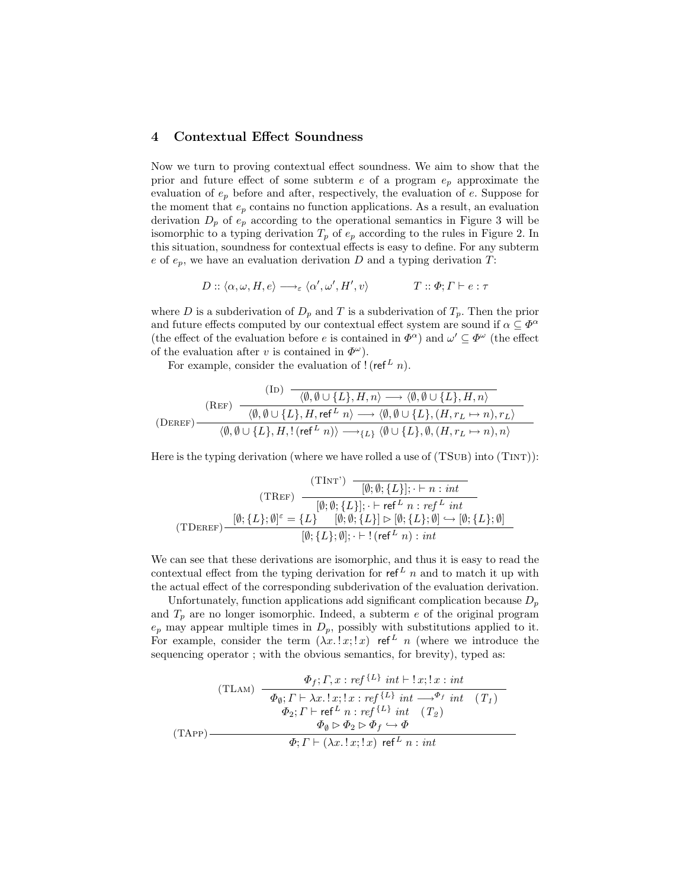## 4 Contextual Effect Soundness

Now we turn to proving contextual effect soundness. We aim to show that the prior and future effect of some subterm  $e$  of a program  $e_p$  approximate the evaluation of  $e_p$  before and after, respectively, the evaluation of e. Suppose for the moment that  $e_p$  contains no function applications. As a result, an evaluation derivation  $D_p$  of  $e_p$  according to the operational semantics in Figure 3 will be isomorphic to a typing derivation  $T_p$  of  $e_p$  according to the rules in Figure 2. In this situation, soundness for contextual effects is easy to define. For any subterm e of  $e_p$ , we have an evaluation derivation D and a typing derivation T:

$$
D::\langle \alpha, \omega, H, e \rangle \longrightarrow_{\varepsilon} \langle \alpha', \omega', H', v \rangle \qquad T::\Phi; \Gamma \vdash e : \tau
$$

where D is a subderivation of  $D_p$  and T is a subderivation of  $T_p$ . Then the prior and future effects computed by our contextual effect system are sound if  $\alpha \subseteq \Phi^{\alpha}$ (the effect of the evaluation before e is contained in  $\Phi^{\alpha}$ ) and  $\omega' \subseteq \Phi^{\omega}$  (the effect of the evaluation after v is contained in  $\Phi^{\omega}$ ).

For example, consider the evaluation of  $!(\text{ref}^L n)$ .

$$
\begin{array}{c}\n\text{(IB)} \quad \dfrac{\langle\langle \mathbf{B},\mathbf{B}\cup\{L\},H,n\rangle \longrightarrow \langle\emptyset,\emptyset\cup\{L\},H,n\rangle}{\langle\emptyset,\emptyset\cup\{L\},H,\mathrm{ref}^L\ n\rangle \longrightarrow \langle\emptyset,\emptyset\cup\{L\},(H,r_L\mapsto n),r_L\rangle} \\
\hline\n\langle\emptyset,\emptyset\cup\{L\},H,!(\mathrm{ref}^L\ n)\rangle \longrightarrow_{\{L\}}\langle\emptyset\cup\{L\},\emptyset,(H,r_L\mapsto n),n\rangle\n\end{array}
$$

Here is the typing derivation (where we have rolled a use of  $(TSUB)$  into  $(TINT)$ ):

$$
(\text{TInt}^{\cdot}) \quad \frac{(\text{TInt}^{\cdot}) \quad \boxed{[\emptyset; \emptyset; \{L\}]; \cdot \vdash n : int}}{[\emptyset; \emptyset; \{L\}]; \cdot \vdash \text{ref}^{L} \ n : ref^{L} \ int}
$$
\n
$$
(\text{TDEF}) \quad \frac{[\emptyset; \{L\}; \emptyset]^{\varepsilon} = \{L\} \quad [\emptyset; \emptyset; \{L\}] \rhd [\emptyset; \{L\}; \emptyset] \hookrightarrow [\emptyset; \{L\}; \emptyset]}{[\emptyset; \{L\}; \emptyset]; \cdot \vdash ! (\text{ref}^{L} \ n) : int}
$$

We can see that these derivations are isomorphic, and thus it is easy to read the contextual effect from the typing derivation for  $ref<sup>L</sup> n$  and to match it up with the actual effect of the corresponding subderivation of the evaluation derivation.

Unfortunately, function applications add significant complication because  $D_p$ and  $T_p$  are no longer isomorphic. Indeed, a subterm e of the original program  $e_p$  may appear multiple times in  $D_p$ , possibly with substitutions applied to it. For example, consider the term  $(\lambda x. x, x)$  ref<sup>L</sup> n (where we introduce the sequencing operator; with the obvious semantics, for brevity), typed as:

$$
\begin{array}{c}\n\text{(TLAM)} \quad \frac{\Phi_f; \Gamma, x : \text{ref}^{\{L\}} \text{ int } \vdash !x; !x : \text{int} \quad \text{(TLAM)} \quad \overline{\Phi_{\emptyset}; \Gamma \vdash \lambda x. !x; !x : \text{ref}^{\{L\}} \text{ int } \longrightarrow^{\Phi_f} \text{ int} \quad (T_1) \quad \text{(TAPP)} \quad \text{(TAPP)} \quad \overline{\Phi_{\emptyset} \rhd \Phi_{\emptyset} \rhd \Phi_{\emptyset} \rightarrow \Phi} \quad \text{(TAPP)} \quad \text{(TAPP)} \quad \overline{\Phi; \Gamma \vdash (\lambda x. !x; !x) \text{ ref}^L \ n : \text{int}}\n\end{array}
$$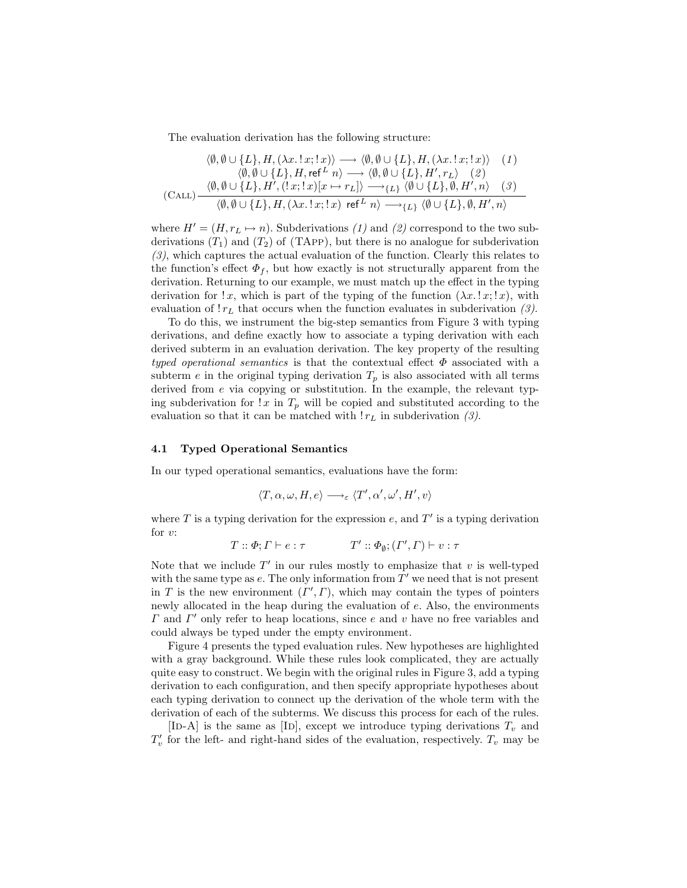The evaluation derivation has the following structure:

$$
\langle \emptyset, \emptyset \cup \{L\}, H, (\lambda x. ! x; ! x) \rangle \longrightarrow \langle \emptyset, \emptyset \cup \{L\}, H, (\lambda x. ! x; ! x) \rangle \quad (1)
$$
\n
$$
\langle \emptyset, \emptyset \cup \{L\}, H, \text{ref}^{L} n \rangle \longrightarrow \langle \emptyset, \emptyset \cup \{L\}, H', r_L \rangle \quad (2)
$$
\n
$$
\langle \emptyset, \emptyset \cup \{L\}, H', (! x; ! x) [x \mapsto r_L] \rangle \longrightarrow_{\{L\}} \langle \emptyset \cup \{L\}, \emptyset, H', n \rangle \quad (3)
$$
\n
$$
\langle \emptyset, \emptyset \cup \{L\}, H, (\lambda x. ! x; ! x) \text{ ref}^{L} n \rangle \longrightarrow_{\{L\}} \langle \emptyset \cup \{L\}, \emptyset, H', n \rangle
$$

where  $H' = (H, r_L \mapsto n)$ . Subderivations (1) and (2) correspond to the two subderivations  $(T_1)$  and  $(T_2)$  of (TAPP), but there is no analogue for subderivation (3), which captures the actual evaluation of the function. Clearly this relates to the function's effect  $\Phi_f$ , but how exactly is not structurally apparent from the derivation. Returning to our example, we must match up the effect in the typing derivation for  $x$ , which is part of the typing of the function  $(\lambda x. x, x, y)$ , with evaluation of  $!r<sub>L</sub>$  that occurs when the function evaluates in subderivation (3).

To do this, we instrument the big-step semantics from Figure 3 with typing derivations, and define exactly how to associate a typing derivation with each derived subterm in an evaluation derivation. The key property of the resulting typed operational semantics is that the contextual effect  $\Phi$  associated with a subterm e in the original typing derivation  $T_p$  is also associated with all terms derived from e via copying or substitution. In the example, the relevant typing subderivation for  $x$  in  $T_p$  will be copied and substituted according to the evaluation so that it can be matched with  $r_L$  in subderivation (3).

#### 4.1 Typed Operational Semantics

In our typed operational semantics, evaluations have the form:

$$
\langle T, \alpha, \omega, H, e \rangle \longrightarrow_{\varepsilon} \langle T', \alpha', \omega', H', v \rangle
$$

where  $T$  is a typing derivation for the expression  $e$ , and  $T'$  is a typing derivation for  $v$ :

$$
T :: \Phi; \Gamma \vdash e : \tau \qquad T' :: \Phi_{\emptyset}; (\Gamma', \Gamma) \vdash v : \tau
$$

Note that we include  $T'$  in our rules mostly to emphasize that  $v$  is well-typed with the same type as  $e$ . The only information from  $T'$  we need that is not present in T is the new environment  $(\Gamma', \Gamma)$ , which may contain the types of pointers newly allocated in the heap during the evaluation of e. Also, the environments  $\Gamma$  and  $\Gamma'$  only refer to heap locations, since e and v have no free variables and could always be typed under the empty environment.

Figure 4 presents the typed evaluation rules. New hypotheses are highlighted with a gray background. While these rules look complicated, they are actually quite easy to construct. We begin with the original rules in Figure 3, add a typing derivation to each configuration, and then specify appropriate hypotheses about each typing derivation to connect up the derivation of the whole term with the derivation of each of the subterms. We discuss this process for each of the rules.

[ID-A] is the same as [ID], except we introduce typing derivations  $T_v$  and  $T_v'$  for the left- and right-hand sides of the evaluation, respectively.  $T_v$  may be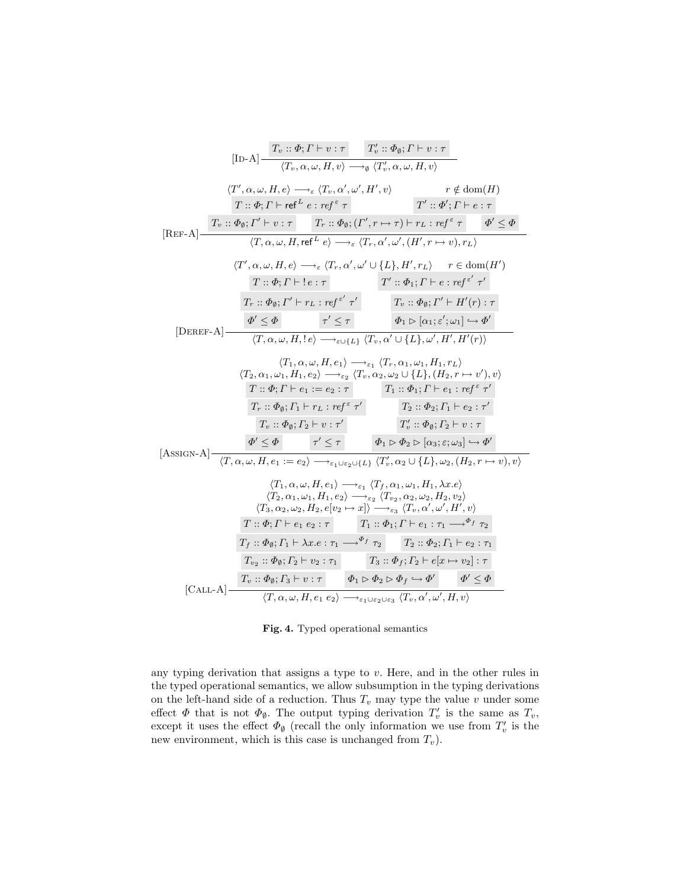$$
[\text{ID-A}] \frac{T_v :: \Phi_i, \Gamma \vdash v : \tau \qquad T'_v :: \Phi_\emptyset; \Gamma \vdash v : \tau \qquad}{(T_v, \alpha, \omega, H, v) \longrightarrow \phi \ (T'_v, \alpha, \omega, H, v)}
$$
\n
$$
\langle T', \alpha, \omega, H, e \rangle \longrightarrow_{\varepsilon} \langle T_v, \alpha', \omega', H', v \rangle \qquad r \notin \text{dom}(H)
$$
\n
$$
T :: \Phi_i, \Gamma \vdash \text{ref}^{\varepsilon} \tau \qquad T'_v :: \Phi'_j, \Gamma' \vdash e : \tau \tau \qquad T'_v :: \Phi'_j, \Gamma \vdash e : \tau \qquad T'_v :: \Phi'_j, \Gamma \vdash e : \tau \qquad T'_v :: \Phi'_j, \Gamma \vdash e : \tau \qquad T'_v :: \Phi'_j, \Gamma \vdash e : \tau \qquad T'_v :: \Phi'_j, \Gamma \vdash e : \tau \qquad T'_v :: \Phi_i, \Gamma \vdash e : \tau \qquad T'_v :: \Phi_i, \Gamma \vdash e : \tau \qquad T'_v :: \Phi_i, \Gamma \vdash e : \tau \qquad T'_v :: \Phi_i, \Gamma \vdash e : \tau \qquad T'_v :: \Phi_i, \Gamma \vdash e : \tau \vdash f \qquad T_v :: \Phi_0; \Gamma' \vdash H'_v) : \tau
$$
\n
$$
[\text{DEREF-A}] \frac{\varphi' \leq \varphi}{(T, \alpha, \omega, H, e) \longrightarrow_{\varepsilon} \langle T, \alpha', \omega' \cup \{L\}, H', r_L) \qquad r \in \text{dom}(H')}{T : \alpha, \alpha, \omega, H, e} \qquad \tau' \leq \tau \qquad T'_v :: \Phi_1; \Gamma \vdash e : \tau \varepsilon \tau \qquad T'_v :: \Phi_1; \Gamma \vdash e : \tau \varepsilon \tau \qquad T'_v :: \Phi_1; \Gamma \vdash e : \tau \varepsilon \tau \qquad T'_v :: \Phi_1; \Gamma \vdash H'_v) : \tau
$$
\n
$$
\langle T_2, \alpha_1, \omega_1, H_1, e_2 \rangle \longrightarrow_{\varepsilon_2} \langle T_v, \alpha_2, \omega_2 \cup \{L\}, \langle H_2, r \mapsto v', v \rangle, v \rangle
$$
\n
$$
T : \Phi_i, \Gamma \vdash e_
$$

Fig. 4. Typed operational semantics

any typing derivation that assigns a type to v. Here, and in the other rules in the typed operational semantics, we allow subsumption in the typing derivations on the left-hand side of a reduction. Thus  $T_v$  may type the value v under some effect  $\Phi$  that is not  $\Phi_{\emptyset}$ . The output typing derivation  $T'_{v}$  is the same as  $T_{v}$ , except it uses the effect  $\Phi_{\emptyset}$  (recall the only information we use from  $T_v'$  is the new environment, which is this case is unchanged from  $T_v$ ).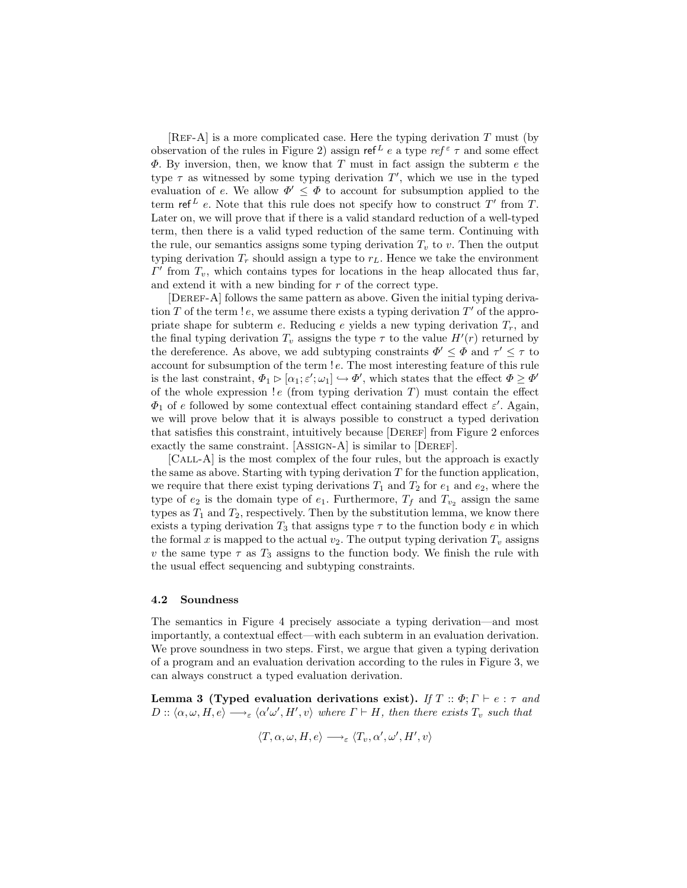[REF-A] is a more complicated case. Here the typing derivation  $T$  must (by observation of the rules in Figure 2) assign ref<sup>L</sup> e a type ref<sup>ε</sup>  $\tau$  and some effect  $\Phi$ . By inversion, then, we know that T must in fact assign the subterm e the type  $\tau$  as witnessed by some typing derivation  $T'$ , which we use in the typed evaluation of e. We allow  $\Phi' \leq \Phi$  to account for subsumption applied to the term ref<sup>L</sup> e. Note that this rule does not specify how to construct T' from T. Later on, we will prove that if there is a valid standard reduction of a well-typed term, then there is a valid typed reduction of the same term. Continuing with the rule, our semantics assigns some typing derivation  $T_v$  to v. Then the output typing derivation  $T_r$  should assign a type to  $r_L$ . Hence we take the environment  $\Gamma'$  from  $T_v$ , which contains types for locations in the heap allocated thus far, and extend it with a new binding for r of the correct type.

[DEREF-A] follows the same pattern as above. Given the initial typing derivation T of the term  $!e$ , we assume there exists a typing derivation  $T'$  of the appropriate shape for subterm e. Reducing e yields a new typing derivation  $T_r$ , and the final typing derivation  $T_v$  assigns the type  $\tau$  to the value  $H'(r)$  returned by the dereference. As above, we add subtyping constraints  $\Phi' \leq \Phi$  and  $\tau' \leq \tau$  to account for subsumption of the term ! e. The most interesting feature of this rule is the last constraint,  $\Phi_1 \triangleright [\alpha_1; \varepsilon'; \omega_1] \hookrightarrow \Phi'$ , which states that the effect  $\Phi \ge \Phi'$ of the whole expression  $!e$  (from typing derivation  $T$ ) must contain the effect  $\Phi_1$  of e followed by some contextual effect containing standard effect  $\varepsilon'$ . Again, we will prove below that it is always possible to construct a typed derivation that satisfies this constraint, intuitively because [DEREF] from Figure 2 enforces exactly the same constraint. [AssIGN-A] is similar to [DEREF].

[Call-A] is the most complex of the four rules, but the approach is exactly the same as above. Starting with typing derivation  $T$  for the function application, we require that there exist typing derivations  $T_1$  and  $T_2$  for  $e_1$  and  $e_2$ , where the type of  $e_2$  is the domain type of  $e_1$ . Furthermore,  $T_f$  and  $T_{v_2}$  assign the same types as  $T_1$  and  $T_2$ , respectively. Then by the substitution lemma, we know there exists a typing derivation  $T_3$  that assigns type  $\tau$  to the function body e in which the formal x is mapped to the actual  $v_2$ . The output typing derivation  $T_v$  assigns v the same type  $\tau$  as  $T_3$  assigns to the function body. We finish the rule with the usual effect sequencing and subtyping constraints.

#### 4.2 Soundness

The semantics in Figure 4 precisely associate a typing derivation—and most importantly, a contextual effect—with each subterm in an evaluation derivation. We prove soundness in two steps. First, we argue that given a typing derivation of a program and an evaluation derivation according to the rules in Figure 3, we can always construct a typed evaluation derivation.

Lemma 3 (Typed evaluation derivations exist). If  $T :: \Phi; \Gamma \vdash e : \tau$  and  $D::\langle \alpha, \omega, H, e \rangle \longrightarrow_{\varepsilon} \langle \alpha' \omega', H', v \rangle$  where  $\Gamma \vdash H$ , then there exists  $T_v$  such that

$$
\langle T, \alpha, \omega, H, e \rangle \longrightarrow_{\varepsilon} \langle T_v, \alpha', \omega', H', v \rangle
$$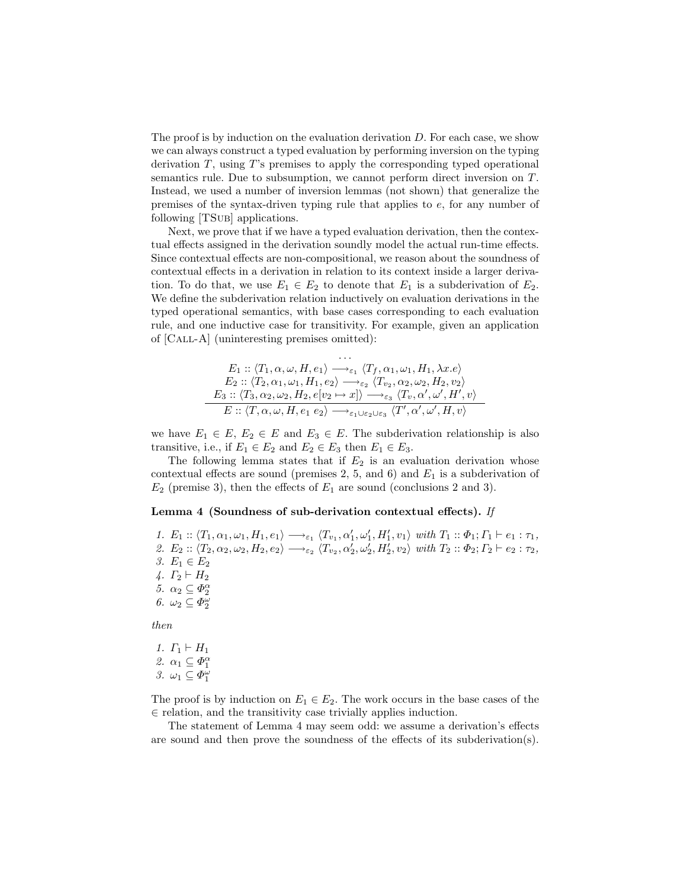The proof is by induction on the evaluation derivation  $D$ . For each case, we show we can always construct a typed evaluation by performing inversion on the typing derivation  $T$ , using  $T$ 's premises to apply the corresponding typed operational semantics rule. Due to subsumption, we cannot perform direct inversion on T. Instead, we used a number of inversion lemmas (not shown) that generalize the premises of the syntax-driven typing rule that applies to e, for any number of following [TSub] applications.

Next, we prove that if we have a typed evaluation derivation, then the contextual effects assigned in the derivation soundly model the actual run-time effects. Since contextual effects are non-compositional, we reason about the soundness of contextual effects in a derivation in relation to its context inside a larger derivation. To do that, we use  $E_1 \in E_2$  to denote that  $E_1$  is a subderivation of  $E_2$ . We define the subderivation relation inductively on evaluation derivations in the typed operational semantics, with base cases corresponding to each evaluation rule, and one inductive case for transitivity. For example, given an application of [Call-A] (uninteresting premises omitted):

$$
E_1 :: \langle T_1, \alpha, \omega, H, e_1 \rangle \longrightarrow_{\varepsilon_1} \langle T_f, \alpha_1, \omega_1, H_1, \lambda x. e \rangle
$$
  
\n
$$
E_2 :: \langle T_2, \alpha_1, \omega_1, H_1, e_2 \rangle \longrightarrow_{\varepsilon_2} \langle T_{v_2}, \alpha_2, \omega_2, H_2, v_2 \rangle
$$
  
\n
$$
E_3 :: \langle T_3, \alpha_2, \omega_2, H_2, e[v_2 \mapsto x] \rangle \longrightarrow_{\varepsilon_3} \langle T_v, \alpha', \omega', H', v \rangle
$$
  
\n
$$
E :: \langle T, \alpha, \omega, H, e_1 \ e_2 \rangle \longrightarrow_{\varepsilon_1 \cup \varepsilon_2 \cup \varepsilon_3} \langle T', \alpha', \omega', H, v \rangle
$$

we have  $E_1 \in E$ ,  $E_2 \in E$  and  $E_3 \in E$ . The subderivation relationship is also transitive, i.e., if  $E_1 \in E_2$  and  $E_2 \in E_3$  then  $E_1 \in E_3$ .

The following lemma states that if  $E_2$  is an evaluation derivation whose contextual effects are sound (premises  $2, 5$ , and  $6$ ) and  $E_1$  is a subderivation of  $E_2$  (premise 3), then the effects of  $E_1$  are sound (conclusions 2 and 3).

#### Lemma 4 (Soundness of sub-derivation contextual effects). If

1.  $E_1$  ::  $\langle T_1, \alpha_1, \omega_1, H_1, e_1 \rangle \longrightarrow_{\varepsilon_1} \langle T_{v_1}, \alpha'_1, \omega'_1, H'_1, v_1 \rangle$  with  $T_1$  ::  $\Phi_1$ ;  $T_1 \vdash e_1$  :  $\tau_1$ , 2.  $E_2$ ::  $\langle T_2, \alpha_2, \omega_2, H_2, e_2 \rangle \longrightarrow_{\varepsilon_2} \langle T_{v_2}, \alpha'_2, \omega'_2, H'_2, v_2 \rangle$  with  $T_2$ :  $\Phi_2$ ;  $\Gamma_2 \vdash e_2 : \tau_2$ , 3.  $E_1 \in E_2$ 4.  $\Gamma_2 \vdash H_2$ 5.  $\alpha_2 \subseteq \Phi_2^{\alpha}$ 6.  $\omega_2 \subseteq \Phi_2^{\omega}$ 

then

1. 
$$
\Gamma_1 \vdash H_1
$$
  
\n2.  $\alpha_1 \subseteq \Phi_1^{\alpha}$   
\n3.  $\omega_1 \subseteq \Phi_1^{\omega}$ 

The proof is by induction on  $E_1 \in E_2$ . The work occurs in the base cases of the ∈ relation, and the transitivity case trivially applies induction.

The statement of Lemma 4 may seem odd: we assume a derivation's effects are sound and then prove the soundness of the effects of its subderivation(s).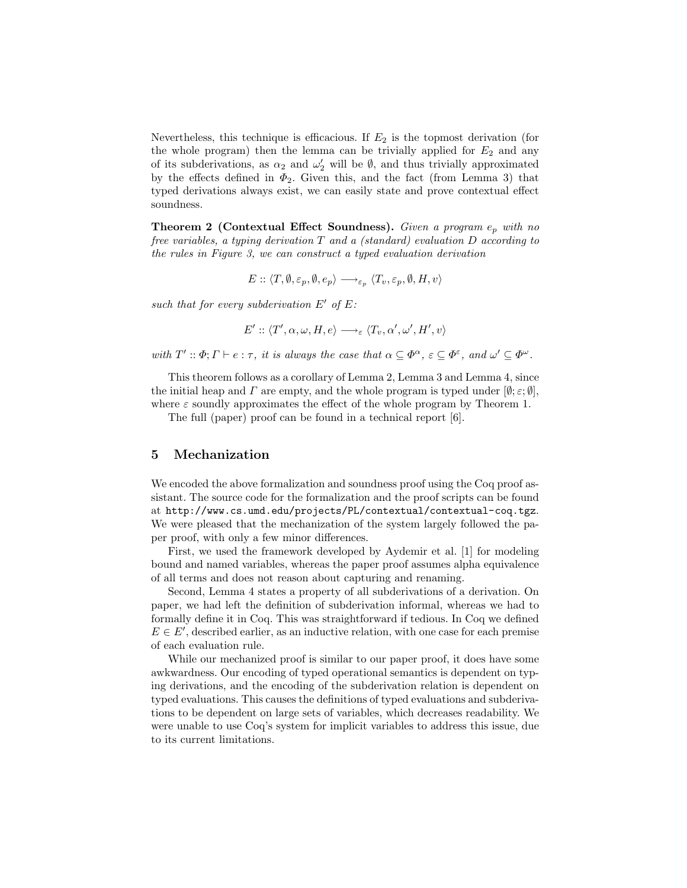Nevertheless, this technique is efficacious. If  $E_2$  is the topmost derivation (for the whole program) then the lemma can be trivially applied for  $E_2$  and any of its subderivations, as  $\alpha_2$  and  $\omega'_2$  will be  $\emptyset$ , and thus trivially approximated by the effects defined in  $\Phi_2$ . Given this, and the fact (from Lemma 3) that typed derivations always exist, we can easily state and prove contextual effect soundness.

**Theorem 2 (Contextual Effect Soundness).** Given a program  $e_p$  with no free variables, a typing derivation  $T$  and a (standard) evaluation  $D$  according to the rules in Figure 3, we can construct a typed evaluation derivation

$$
E::\langle T,\emptyset,\varepsilon_p,\emptyset,e_p\rangle \longrightarrow_{\varepsilon_p} \langle T_v,\varepsilon_p,\emptyset,H,v\rangle
$$

such that for every subderivation  $E'$  of  $E$ :

$$
E' :: \langle T', \alpha, \omega, H, e \rangle \longrightarrow_{\varepsilon} \langle T_v, \alpha', \omega', H', v \rangle
$$

with  $T' :: \Phi; \Gamma \vdash e : \tau$ , it is always the case that  $\alpha \subseteq \Phi^{\alpha}, \varepsilon \subseteq \Phi^{\varepsilon}$ , and  $\omega' \subseteq \Phi^{\omega}$ .

This theorem follows as a corollary of Lemma 2, Lemma 3 and Lemma 4, since the initial heap and  $\Gamma$  are empty, and the whole program is typed under  $[\emptyset; \varepsilon; \emptyset]$ , where  $\varepsilon$  soundly approximates the effect of the whole program by Theorem 1.

The full (paper) proof can be found in a technical report [6].

### 5 Mechanization

We encoded the above formalization and soundness proof using the Coq proof assistant. The source code for the formalization and the proof scripts can be found at http://www.cs.umd.edu/projects/PL/contextual/contextual-coq.tgz. We were pleased that the mechanization of the system largely followed the paper proof, with only a few minor differences.

First, we used the framework developed by Aydemir et al. [1] for modeling bound and named variables, whereas the paper proof assumes alpha equivalence of all terms and does not reason about capturing and renaming.

Second, Lemma 4 states a property of all subderivations of a derivation. On paper, we had left the definition of subderivation informal, whereas we had to formally define it in Coq. This was straightforward if tedious. In Coq we defined  $E \in E'$ , described earlier, as an inductive relation, with one case for each premise of each evaluation rule.

While our mechanized proof is similar to our paper proof, it does have some awkwardness. Our encoding of typed operational semantics is dependent on typing derivations, and the encoding of the subderivation relation is dependent on typed evaluations. This causes the definitions of typed evaluations and subderivations to be dependent on large sets of variables, which decreases readability. We were unable to use Coq's system for implicit variables to address this issue, due to its current limitations.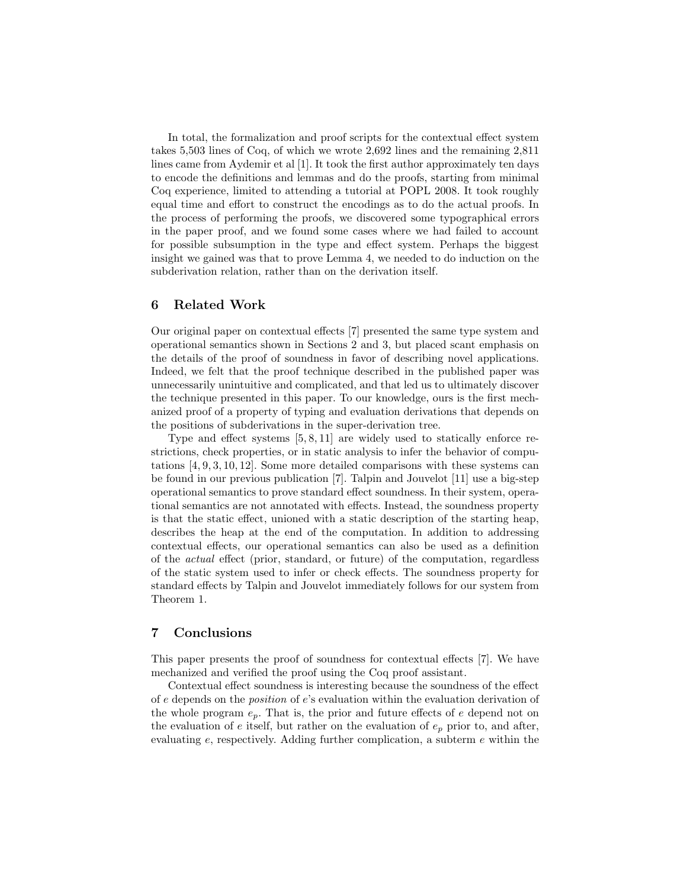In total, the formalization and proof scripts for the contextual effect system takes 5,503 lines of Coq, of which we wrote 2,692 lines and the remaining 2,811 lines came from Aydemir et al [1]. It took the first author approximately ten days to encode the definitions and lemmas and do the proofs, starting from minimal Coq experience, limited to attending a tutorial at POPL 2008. It took roughly equal time and effort to construct the encodings as to do the actual proofs. In the process of performing the proofs, we discovered some typographical errors in the paper proof, and we found some cases where we had failed to account for possible subsumption in the type and effect system. Perhaps the biggest insight we gained was that to prove Lemma 4, we needed to do induction on the subderivation relation, rather than on the derivation itself.

## 6 Related Work

Our original paper on contextual effects [7] presented the same type system and operational semantics shown in Sections 2 and 3, but placed scant emphasis on the details of the proof of soundness in favor of describing novel applications. Indeed, we felt that the proof technique described in the published paper was unnecessarily unintuitive and complicated, and that led us to ultimately discover the technique presented in this paper. To our knowledge, ours is the first mechanized proof of a property of typing and evaluation derivations that depends on the positions of subderivations in the super-derivation tree.

Type and effect systems [5, 8, 11] are widely used to statically enforce restrictions, check properties, or in static analysis to infer the behavior of computations [4, 9, 3, 10, 12]. Some more detailed comparisons with these systems can be found in our previous publication [7]. Talpin and Jouvelot [11] use a big-step operational semantics to prove standard effect soundness. In their system, operational semantics are not annotated with effects. Instead, the soundness property is that the static effect, unioned with a static description of the starting heap, describes the heap at the end of the computation. In addition to addressing contextual effects, our operational semantics can also be used as a definition of the actual effect (prior, standard, or future) of the computation, regardless of the static system used to infer or check effects. The soundness property for standard effects by Talpin and Jouvelot immediately follows for our system from Theorem 1.

### 7 Conclusions

This paper presents the proof of soundness for contextual effects [7]. We have mechanized and verified the proof using the Coq proof assistant.

Contextual effect soundness is interesting because the soundness of the effect of  $e$  depends on the *position* of  $e$ 's evaluation within the evaluation derivation of the whole program  $e_p$ . That is, the prior and future effects of e depend not on the evaluation of  $e$  itself, but rather on the evaluation of  $e_p$  prior to, and after, evaluating e, respectively. Adding further complication, a subterm e within the